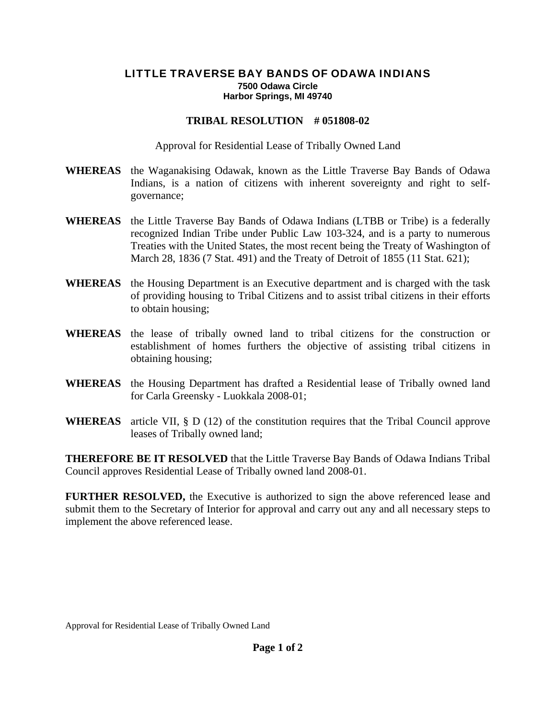## LITTLE TRAVERSE BAY BANDS OF ODAWA INDIANS **7500 Odawa Circle Harbor Springs, MI 49740**

## **TRIBAL RESOLUTION # 051808-02**

Approval for Residential Lease of Tribally Owned Land

- **WHEREAS** the Waganakising Odawak, known as the Little Traverse Bay Bands of Odawa Indians, is a nation of citizens with inherent sovereignty and right to selfgovernance;
- **WHEREAS** the Little Traverse Bay Bands of Odawa Indians (LTBB or Tribe) is a federally recognized Indian Tribe under Public Law 103-324, and is a party to numerous Treaties with the United States, the most recent being the Treaty of Washington of March 28, 1836 (7 Stat. 491) and the Treaty of Detroit of 1855 (11 Stat. 621);
- **WHEREAS** the Housing Department is an Executive department and is charged with the task of providing housing to Tribal Citizens and to assist tribal citizens in their efforts to obtain housing;
- **WHEREAS** the lease of tribally owned land to tribal citizens for the construction or establishment of homes furthers the objective of assisting tribal citizens in obtaining housing;
- **WHEREAS** the Housing Department has drafted a Residential lease of Tribally owned land for Carla Greensky - Luokkala 2008-01;
- **WHEREAS** article VII, § D (12) of the constitution requires that the Tribal Council approve leases of Tribally owned land;

**THEREFORE BE IT RESOLVED** that the Little Traverse Bay Bands of Odawa Indians Tribal Council approves Residential Lease of Tribally owned land 2008-01.

**FURTHER RESOLVED,** the Executive is authorized to sign the above referenced lease and submit them to the Secretary of Interior for approval and carry out any and all necessary steps to implement the above referenced lease.